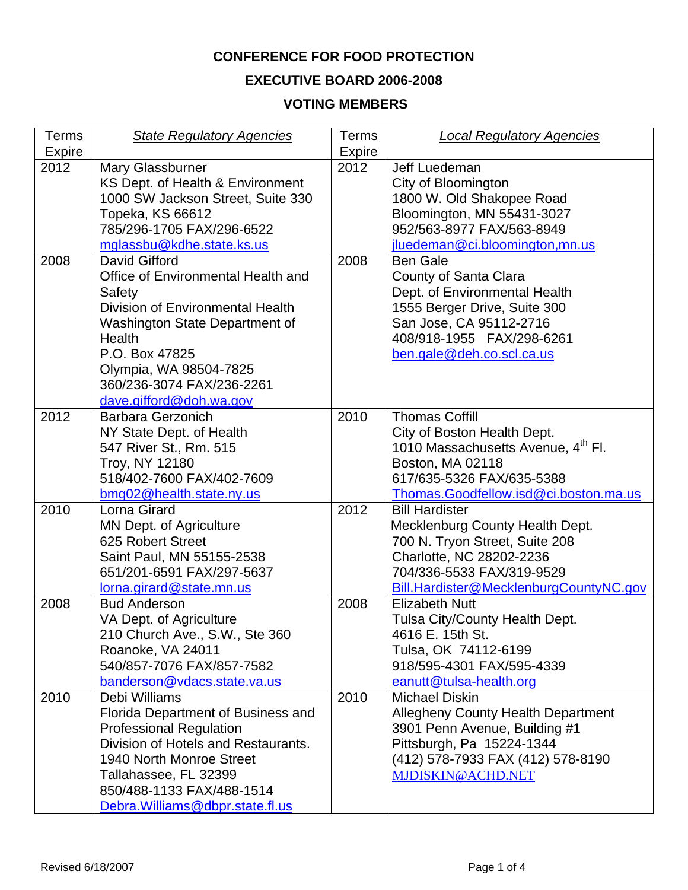# **CONFERENCE FOR FOOD PROTECTION**

# **EXECUTIVE BOARD 2006-2008**

# **VOTING MEMBERS**

| Terms<br><b>Expire</b> | <b>State Regulatory Agencies</b>                                                                                                                                                                                                                   | <b>Terms</b><br>Expire | <b>Local Regulatory Agencies</b>                                                                                                                                                                 |
|------------------------|----------------------------------------------------------------------------------------------------------------------------------------------------------------------------------------------------------------------------------------------------|------------------------|--------------------------------------------------------------------------------------------------------------------------------------------------------------------------------------------------|
| 2012                   | Mary Glassburner<br>KS Dept. of Health & Environment<br>1000 SW Jackson Street, Suite 330<br>Topeka, KS 66612<br>785/296-1705 FAX/296-6522<br>mglassbu@kdhe.state.ks.us                                                                            | 2012                   | Jeff Luedeman<br>City of Bloomington<br>1800 W. Old Shakopee Road<br>Bloomington, MN 55431-3027<br>952/563-8977 FAX/563-8949<br>jluedeman@ci.bloomington,mn.us                                   |
| 2008                   | David Gifford<br>Office of Environmental Health and<br>Safety<br>Division of Environmental Health<br>Washington State Department of<br>Health<br>P.O. Box 47825<br>Olympia, WA 98504-7825<br>360/236-3074 FAX/236-2261<br>dave.gifford@doh.wa.gov  | 2008                   | <b>Ben Gale</b><br>County of Santa Clara<br>Dept. of Environmental Health<br>1555 Berger Drive, Suite 300<br>San Jose, CA 95112-2716<br>408/918-1955  FAX/298-6261<br>ben.gale@deh.co.scl.ca.us  |
| 2012                   | Barbara Gerzonich<br>NY State Dept. of Health<br>547 River St., Rm. 515<br>Troy, NY 12180<br>518/402-7600 FAX/402-7609<br>bmg02@health.state.ny.us                                                                                                 | 2010                   | <b>Thomas Coffill</b><br>City of Boston Health Dept.<br>1010 Massachusetts Avenue, 4 <sup>th</sup> Fl.<br>Boston, MA 02118<br>617/635-5326 FAX/635-5388<br>Thomas.Goodfellow.isd@ci.boston.ma.us |
| 2010                   | Lorna Girard<br>MN Dept. of Agriculture<br>625 Robert Street<br>Saint Paul, MN 55155-2538<br>651/201-6591 FAX/297-5637<br>lorna.girard@state.mn.us                                                                                                 | 2012                   | <b>Bill Hardister</b><br>Mecklenburg County Health Dept.<br>700 N. Tryon Street, Suite 208<br>Charlotte, NC 28202-2236<br>704/336-5533 FAX/319-9529<br>Bill.Hardister@MecklenburgCountyNC.gov    |
| 2008                   | <b>Bud Anderson</b><br>VA Dept. of Agriculture<br>210 Church Ave., S.W., Ste 360<br>Roanoke, VA 24011<br>540/857-7076 FAX/857-7582<br>banderson@vdacs.state.va.us                                                                                  | 2008                   | <b>Elizabeth Nutt</b><br>Tulsa City/County Health Dept.<br>4616 E. 15th St.<br>Tulsa, OK 74112-6199<br>918/595-4301 FAX/595-4339<br>eanutt@tulsa-health.org                                      |
| 2010                   | Debi Williams<br>Florida Department of Business and<br><b>Professional Regulation</b><br>Division of Hotels and Restaurants.<br>1940 North Monroe Street<br>Tallahassee, FL 32399<br>850/488-1133 FAX/488-1514<br>Debra. Williams@dbpr.state.fl.us | 2010                   | <b>Michael Diskin</b><br><b>Allegheny County Health Department</b><br>3901 Penn Avenue, Building #1<br>Pittsburgh, Pa 15224-1344<br>(412) 578-7933 FAX (412) 578-8190<br>MJDISKIN@ACHD.NET       |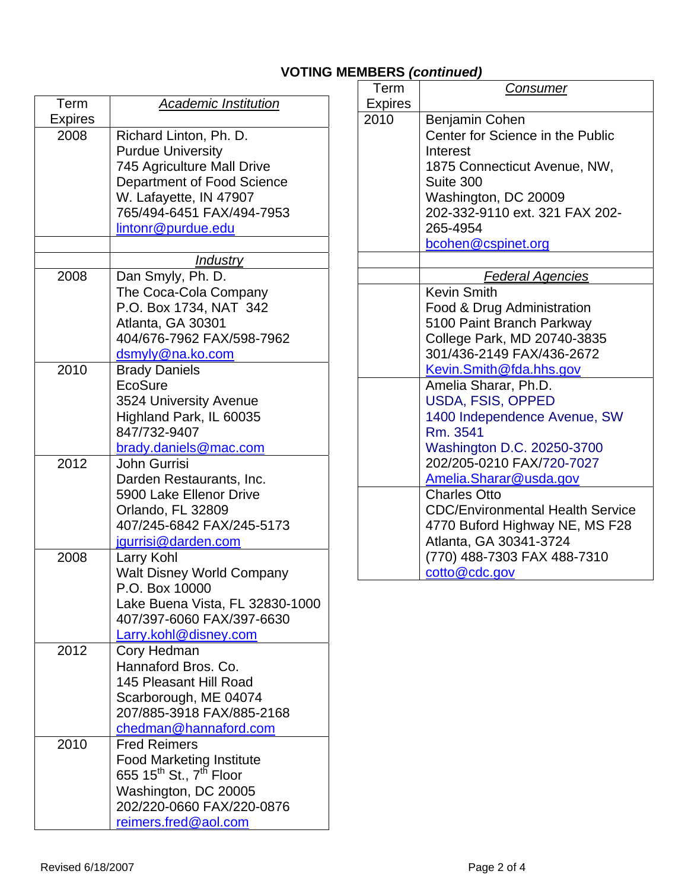# **VOTING MEMBERS** *(continued)*

| <b>Academic Institution</b>                            |
|--------------------------------------------------------|
|                                                        |
| Richard Linton, Ph. D.                                 |
| <b>Purdue University</b>                               |
| 745 Agriculture Mall Drive                             |
| Department of Food Science                             |
| W. Lafayette, IN 47907                                 |
| 765/494-6451 FAX/494-7953                              |
| lintonr@purdue.edu                                     |
| <u>Industry</u>                                        |
| Dan Smyly, Ph. D.                                      |
| The Coca-Cola Company                                  |
| P.O. Box 1734, NAT 342                                 |
| Atlanta, GA 30301                                      |
| 404/676-7962 FAX/598-7962                              |
| dsmyly@na.ko.com                                       |
| <b>Brady Daniels</b>                                   |
| EcoSure                                                |
| 3524 University Avenue                                 |
| Highland Park, IL 60035                                |
| 847/732-9407                                           |
| brady.daniels@mac.com                                  |
| <b>John Gurrisi</b>                                    |
| Darden Restaurants, Inc.<br>5900 Lake Ellenor Drive    |
| Orlando, FL 32809                                      |
| 407/245-6842 FAX/245-5173                              |
| <u>jgurrisi@darden.com</u>                             |
| Larry Kohl                                             |
| <b>Walt Disney World Company</b>                       |
| P.O. Box 10000                                         |
| Lake Buena Vista, FL 32830-1000                        |
| 407/397-6060 FAX/397-6630                              |
| <b>Larry.kohl@disney.com</b>                           |
| Cory Hedman                                            |
| Hannaford Bros, Co.                                    |
| 145 Pleasant Hill Road                                 |
| Scarborough, ME 04074                                  |
| 207/885-3918 FAX/885-2168                              |
| chedman@hannaford.com                                  |
| <b>Fred Reimers</b><br><b>Food Marketing Institute</b> |
| 655 15 <sup>th</sup> St., 7 <sup>th</sup> Floor        |
|                                                        |
|                                                        |
| Washington, DC 20005<br>202/220-0660 FAX/220-0876      |
|                                                        |

| Term           | Consumer                                                |
|----------------|---------------------------------------------------------|
| <b>Expires</b> |                                                         |
| 2010           | Benjamin Cohen                                          |
|                | Center for Science in the Public                        |
|                | Interest                                                |
|                | 1875 Connecticut Avenue, NW,                            |
|                | Suite 300                                               |
|                | Washington, DC 20009                                    |
|                | 202-332-9110 ext. 321 FAX 202-                          |
|                | 265-4954                                                |
|                | bcohen@cspinet.org                                      |
|                |                                                         |
|                | <b>Federal Agencies</b>                                 |
|                | <b>Kevin Smith</b>                                      |
|                | Food & Drug Administration                              |
|                | 5100 Paint Branch Parkway                               |
|                | College Park, MD 20740-3835                             |
|                | 301/436-2149 FAX/436-2672                               |
|                | Kevin.Smith@fda.hhs.gov                                 |
|                | Amelia Sharar, Ph.D.                                    |
|                | <b>USDA, FSIS, OPPED</b>                                |
|                | 1400 Independence Avenue, SW                            |
|                | Rm. 3541                                                |
|                | Washington D.C. 20250-3700<br>202/205-0210 FAX/720-7027 |
|                |                                                         |
|                | Amelia.Sharar@usda.gov                                  |
|                | <b>Charles Otto</b>                                     |
|                | <b>CDC/Environmental Health Service</b>                 |
|                | 4770 Buford Highway NE, MS F28                          |
|                | Atlanta, GA 30341-3724                                  |
|                | (770) 488-7303 FAX 488-7310                             |
|                | cotto@cdc.gov                                           |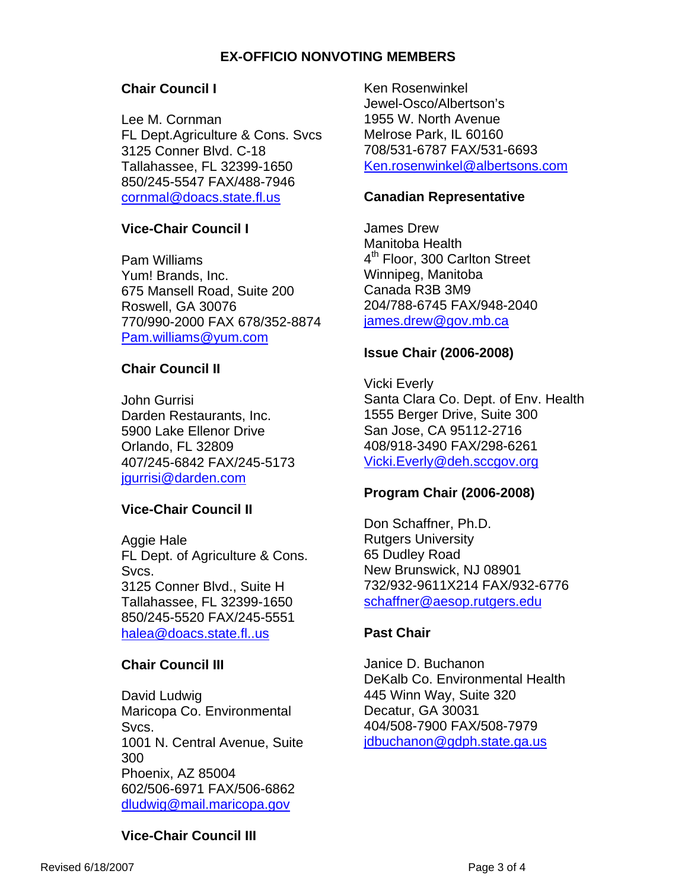# **EX-OFFICIO NONVOTING MEMBERS**

#### **Chair Council I**

Lee M. Cornman FL Dept.Agriculture & Cons. Svcs 3125 Conner Blvd. C-18 Tallahassee, FL 32399-1650 850/245-5547 FAX/488-7946 [cornmal@doacs.state.fl.us](mailto:cornmal@doacs.state.fl.us)

#### **Vice-Chair Council I**

Pam Williams Yum! Brands, Inc. 675 Mansell Road, Suite 200 Roswell, GA 30076 770/990-2000 FAX 678/352-8874 [Pam.williams@yum.com](mailto:Pam.williams@yum.com)

#### **Chair Council II**

John Gurrisi Darden Restaurants, Inc. 5900 Lake Ellenor Drive Orlando, FL 32809 407/245-6842 FAX/245-5173 [jgurrisi@darden.com](mailto:jgurrisi@darden.com)

# **Vice-Chair Council II**

Aggie Hale FL Dept. of Agriculture & Cons. Svcs. 3125 Conner Blvd., Suite H Tallahassee, FL 32399-1650 850/245-5520 FAX/245-5551 [halea@doacs.state.fl..us](mailto:halea@doacs.state.fl..us)

#### **Chair Council III**

David Ludwig Maricopa Co. Environmental Svcs. 1001 N. Central Avenue, Suite 300 Phoenix, AZ 85004 602/506-6971 FAX/506-6862 [dludwig@mail.maricopa.gov](mailto:dludwig@mail.maricopa.gov)

Ken Rosenwinkel Jewel-Osco/Albertson's 1955 W. North Avenue Melrose Park, IL 60160 708/531-6787 FAX/531-6693 [Ken.rosenwinkel@albertsons.com](mailto:Ken.rosenwinkel@albertsons.com)

#### **Canadian Representative**

James Drew Manitoba Health 4<sup>th</sup> Floor, 300 Carlton Street Winnipeg, Manitoba Canada R3B 3M9 204/788-6745 FAX/948-2040 [james.drew@gov.mb.ca](mailto:james.drew@gov.mb.ca)

#### **Issue Chair (2006-2008)**

Vicki Everly Santa Clara Co. Dept. of Env. Health 1555 Berger Drive, Suite 300 San Jose, CA 95112-2716 408/918-3490 FAX/298-6261 [Vicki.Everly@deh.sccgov.org](mailto:Vicki.Everly@deh.sccgov.org)

#### **Program Chair (2006-2008)**

Don Schaffner, Ph.D. Rutgers University 65 Dudley Road New Brunswick, NJ 08901 732/932-9611X214 FAX/932-6776 [schaffner@aesop.rutgers.edu](mailto:schaffner@aesop.rutgers.edu)

#### **Past Chair**

Janice D. Buchanon DeKalb Co. Environmental Health 445 Winn Way, Suite 320 Decatur, GA 30031 404/508-7900 FAX/508-7979 [jdbuchanon@gdph.state.ga.us](mailto:jdbuchanon@gdph.state.ga.us)

# **Vice-Chair Council III**